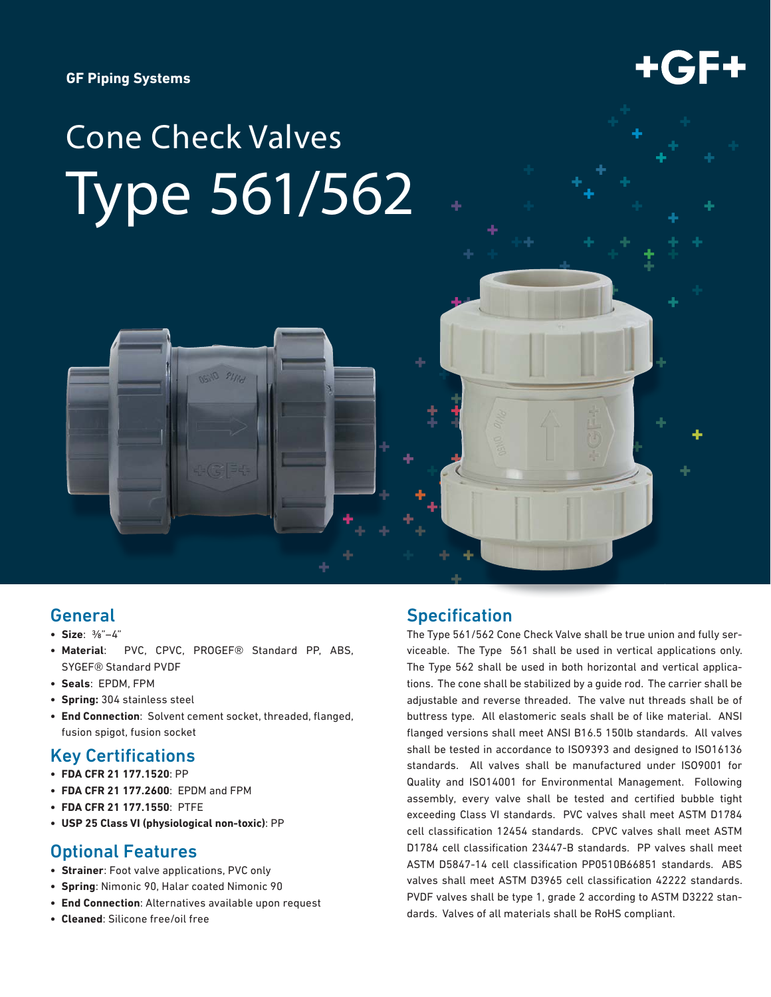**GF Piping Systems**



# Cone Check Valves Type 561/562

# General

- **Size**: ⅜"–4"
- **Material**: PVC, CPVC, PROGEF® Standard PP, ABS, SYGEF® Standard PVDF
- **Seals**: EPDM, FPM
- **Spring:** 304 stainless steel
- End Connection: Solvent cement socket, threaded, flanged, fusion spigot, fusion socket

# **Key Certifications**

- **FDA CFR 21 177.1520**: PP
- **FDA CFR 21 177.2600**: EPDM and FPM
- **FDA CFR 21 177.1550**: PTFE
- **USP 25 Class VI (physiological non-toxic)**: PP

### Optional Features

- **Strainer**: Foot valve applications, PVC only
- **Spring**: Nimonic 90, Halar coated Nimonic 90
- **End Connection**: Alternatives available upon request
- **Cleaned**: Silicone free/oil free

# **Specification**

The Type 561/562 Cone Check Valve shall be true union and fully serviceable. The Type 561 shall be used in vertical applications only. The Type 562 shall be used in both horizontal and vertical applications. The cone shall be stabilized by a guide rod. The carrier shall be adjustable and reverse threaded. The valve nut threads shall be of buttress type. All elastomeric seals shall be of like material. ANSI flanged versions shall meet ANSI B16.5 150lb standards. All valves shall be tested in accordance to ISO9393 and designed to ISO16136 standards. All valves shall be manufactured under ISO9001 for Quality and ISO14001 for Environmental Management. Following assembly, every valve shall be tested and certified bubble tight exceeding Class VI standards. PVC valves shall meet ASTM D1784 cell classification 12454 standards. CPVC valves shall meet ASTM D1784 cell classification 23447-B standards. PP valves shall meet ASTM D5847-14 cell classification PP0510B66851 standards. ABS valves shall meet ASTM D3965 cell classification 42222 standards. PVDF valves shall be type 1, grade 2 according to ASTM D3222 standards. Valves of all materials shall be RoHS compliant.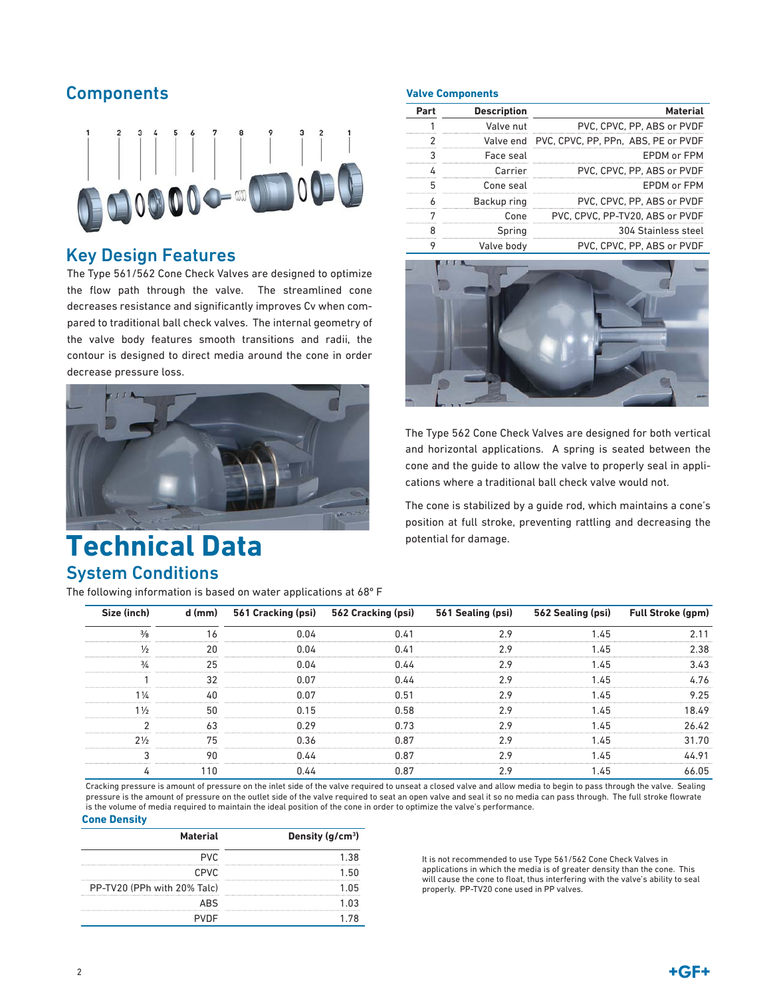# **Components**



## Key Design Features

The Type 561/562 Cone Check Valves are designed to optimize the flow path through the valve. The streamlined cone decreases resistance and significantly improves Cv when compared to traditional ball check valves. The internal geometry of the valve body features smooth transitions and radii, the contour is designed to direct media around the cone in order decrease pressure loss.



# System Conditions **Technical Data**

The following information is based on water applications at 68º F

#### **Valve Components**

| Part | <b>Description</b> | <b>Material</b>                               |
|------|--------------------|-----------------------------------------------|
|      | Valve nut          | PVC, CPVC, PP, ABS or PVDF                    |
|      |                    | Valve end PVC, CPVC, PP, PPn, ABS, PE or PVDF |
|      | Face seal          | FPDM or FPM                                   |
|      | Carrier            | PVC, CPVC, PP, ABS or PVDF                    |
| 5    | Cone seal          | FPDM or FPM                                   |
|      | Backup ring        | PVC. CPVC, PP, ABS or PVDF                    |
|      | Cone               | PVC. CPVC, PP-TV20, ABS or PVDF               |
|      | Spring             | 304 Stainless steel                           |
| ດ    | Valve bodv         | PVC. CPVC, PP, ABS or PVDF                    |



The Type 562 Cone Check Valves are designed for both vertical and horizontal applications. A spring is seated between the cone and the guide to allow the valve to properly seal in applications where a traditional ball check valve would not.

The cone is stabilized by a guide rod, which maintains a cone's position at full stroke, preventing rattling and decreasing the potential for damage.

| Size (inch)    | d (mm) | 561 Cracking (psi) | 562 Cracking (psi) | 561 Sealing (psi) | 562 Sealing (psi) | <b>Full Stroke (gpm)</b> |
|----------------|--------|--------------------|--------------------|-------------------|-------------------|--------------------------|
| $\frac{3}{8}$  | 16     | 0.04               | 0.41               | 2.9               | 1.45              | 2.11                     |
| $\frac{1}{2}$  | 20     | 0.04               | 0.41               | 2.9               | 1.45              | 2.38                     |
| $\frac{3}{4}$  | 25     | 0.04               | 0.44               | 2.9               | 1.45              | 3.43                     |
|                | 32     | 0.07               | 0.44               | 2.9               | 1.45              | 4.76                     |
| $1\frac{1}{4}$ | 40     | 0.07               | 0.51               | 2.9               | 1.45              | 9.25                     |
| $1\frac{1}{2}$ | 50     | 0.15               | 0.58               | 2.9               | 1.45              | 18.49                    |
|                | 63     | 0.29               | 0.73               | 2.9               | 1.45              | 26.42                    |
| $2\frac{1}{2}$ | 75     | 0.36               | 0.87               | 2.9               | 1.45              | 31.70                    |
| 3              | 90     | 0.44               | 0.87               | 2.9               | 1.45              | 44.91                    |
| 4              | 110    | 0.44               | 0.87               | 2.9               | 1.45              | 66.05                    |

Cracking pressure is amount of pressure on the inlet side of the valve required to unseat a closed valve and allow media to begin to pass through the valve. Sealing pressure is the amount of pressure on the outlet side of the valve required to seat an open valve and seal it so no media can pass through. The full stroke flowrate is the volume of media required to maintain the ideal position of the cone in order to optimize the valve's performance.

#### **Material Density (g/cm3 )** PVC 1.38 CPVC 1.50 PP-TV20 (PPh with 20% Talc) 1.05 ABS 1.03 PVDF 1.78 **Cone Density**

It is not recommended to use Type 561/562 Cone Check Valves in applications in which the media is of greater density than the cone. This will cause the cone to float, thus interfering with the valve's ability to seal properly. PP-TV20 cone used in PP valves.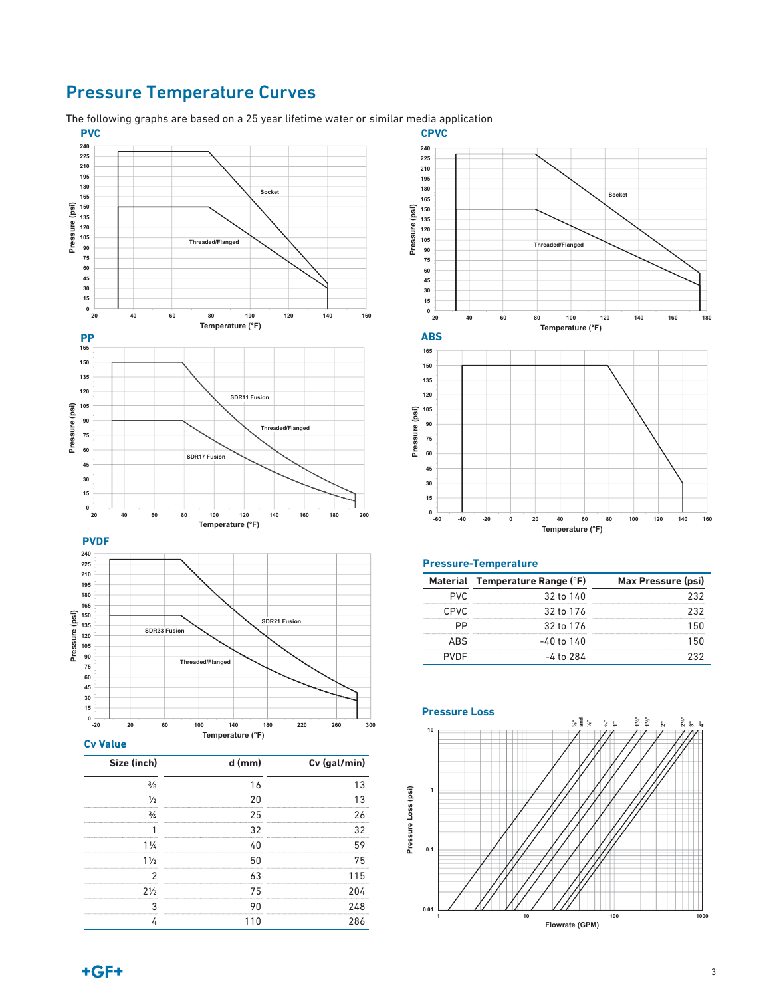# Pressure Temperature Curves

The following graphs are based on a 25 year lifetime water or similar media application



1¼ 40 59  $1\frac{1}{2}$  50 75 2 63 115 2½ 75 204 3 90 248 4 110 286



**ABS**

**165** 

**Pressure (psi)** 

Pressure

(psi)



**20 40 60 80 100 120 140 160 180** 

**Temperature (°F)** 

**Threaded/Flanged** 

**Socket**